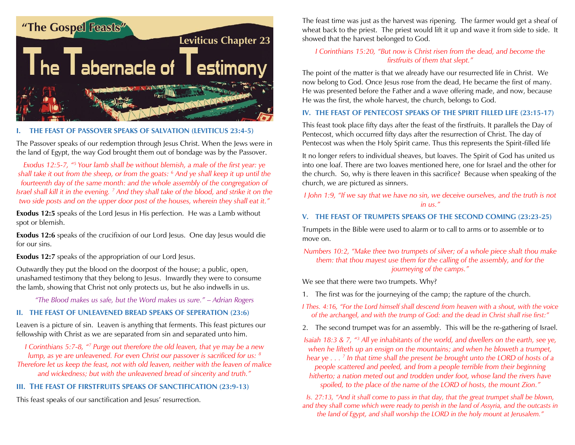

#### **I. THE FEAST OF PASSOVER SPEAKS OF SALVATION (LEVITICUS 23:4-5)**

The Passover speaks of our redemption through Jesus Christ. When the Jews were in the land of Egypt, the way God brought them out of bondage was by the Passover.

*Exodus 12:5-7, "<sup>5</sup> Your lamb shall be without blemish, a male of the first year: ye shall take it out from the sheep, or from the goats: <sup>6</sup> And ye shall keep it up until the fourteenth day of the same month: and the whole assembly of the congregation of Israel shall kill it in the evening. <sup>7</sup> And they shall take of the blood, and strike it on the two side posts and on the upper door post of the houses, wherein they shall eat it."*

**Exodus 12:5** speaks of the Lord Jesus in His perfection. He was a Lamb without spot or blemish.

**Exodus 12:6** speaks of the crucifixion of our Lord Jesus. One day Jesus would die for our sins.

**Exodus 12:7** speaks of the appropriation of our Lord Jesus.

Outwardly they put the blood on the doorpost of the house; a public, open, unashamed testimony that they belong to Jesus. Inwardly they were to consume the lamb, showing that Christ not only protects us, but he also indwells in us.

*"The Blood makes us safe, but the Word makes us sure." – Adrian Rogers*

#### **II. THE FEAST OF UNLEAVENED BREAD SPEAKS OF SEPERATION (23:6)**

Leaven is a picture of sin. Leaven is anything that ferments. This feast pictures our fellowship with Christ as we are separated from sin and separated unto him.

*I Corinthians 5:7-8, "<sup>7</sup> Purge out therefore the old leaven, that ye may be a new lump, as ye are unleavened. For even Christ our passover is sacrificed for us: <sup>8</sup> Therefore let us keep the feast, not with old leaven, neither with the leaven of malice and wickedness; but with the unleavened bread of sincerity and truth."*

# **III. THE FEAST OF FIRSTFRUITS SPEAKS OF SANCTIFICATION (23:9-13)**

This feast speaks of our sanctification and Jesus' resurrection.

The feast time was just as the harvest was ripening. The farmer would get a sheaf of wheat back to the priest. The priest would lift it up and wave it from side to side. It showed that the harvest belonged to God.

### *I Corinthians 15:20, "But now is Christ risen from the dead, and become the firstfruits of them that slept."*

The point of the matter is that we already have our resurrected life in Christ. We now belong to God. Once Jesus rose from the dead, He became the first of many. He was presented before the Father and a wave offering made, and now, because He was the first, the whole harvest, the church, belongs to God.

## **IV. THE FEAST OF PENTECOST SPEAKS OF THE SPIRIT FILLED LIFE (23:15-17)**

This feast took place fifty days after the feast of the firstfruits. It parallels the Day of Pentecost, which occurred fifty days after the resurrection of Christ. The day of Pentecost was when the Holy Spirit came. Thus this represents the Spirit-filled life

It no longer refers to individual sheaves, but loaves. The Spirit of God has united us into one loaf. There are two loaves mentioned here, one for Israel and the other for the church. So, why is there leaven in this sacrifice? Because when speaking of the church, we are pictured as sinners.

## *I John 1:9, "If we say that we have no sin, we deceive ourselves, and the truth is not in us."*

## **V. THE FEAST OF TRUMPETS SPEAKS OF THE SECOND COMING (23:23-25)**

Trumpets in the Bible were used to alarm or to call to arms or to assemble or to move on.

*Numbers 10:2, "Make thee two trumpets of silver; of a whole piece shalt thou make them: that thou mayest use them for the calling of the assembly, and for the journeying of the camps."*

We see that there were two trumpets. Why?

1. The first was for the journeying of the camp; the rapture of the church.

*I Thes. 4:16, "For the Lord himself shall descend from heaven with a shout, with the voice of the archangel, and with the trump of God: and the dead in Christ shall rise first:"*

2. The second trumpet was for an assembly. This will be the re-gathering of Israel.

*Isaiah 18:3 & 7, "<sup>3</sup> All ye inhabitants of the world, and dwellers on the earth, see ye, when he lifteth up an ensign on the mountains; and when he bloweth a trumpet, hear ye . . . <sup>7</sup> In that time shall the present be brought unto the LORD of hosts of a people scattered and peeled, and from a people terrible from their beginning hitherto; a nation meted out and trodden under foot, whose land the rivers have spoiled, to the place of the name of the LORD of hosts, the mount Zion."*

*Is. 27:13, "And it shall come to pass in that day, that the great trumpet shall be blown, and they shall come which were ready to perish in the land of Assyria, and the outcasts in the land of Egypt, and shall worship the LORD in the holy mount at Jerusalem."*